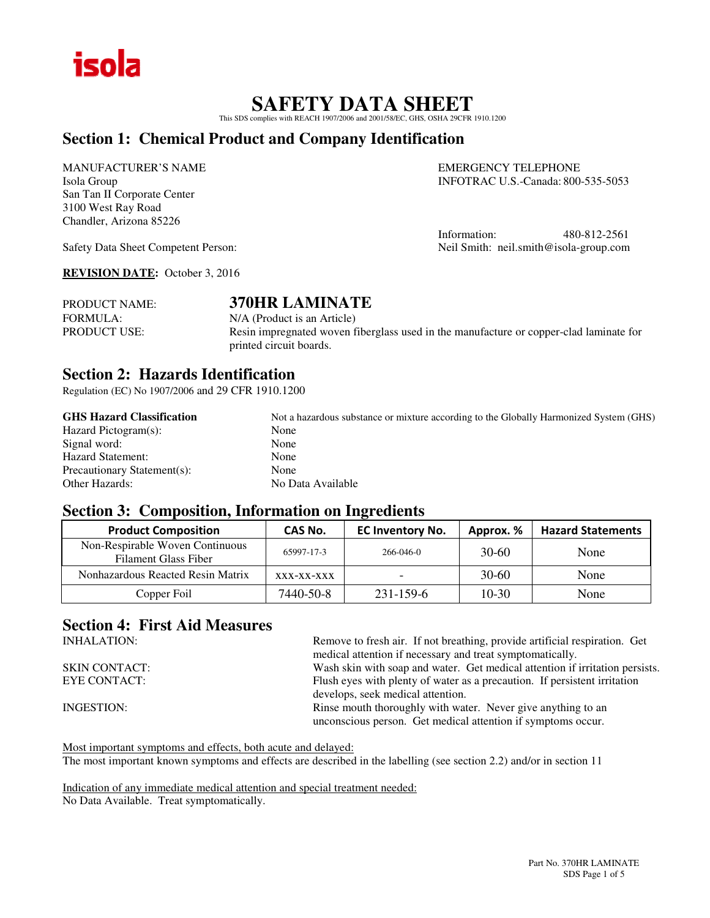

## **SAFETY DATA SHEET**

This SDS complies with REACH 1907/2006 and 2001/58/EC, GHS, OSHA 29CFR 1910.1200

## **Section 1: Chemical Product and Company Identification**

MANUFACTURER'S NAME EMERGENCY TELEPHONE San Tan II Corporate Center 3100 West Ray Road Chandler, Arizona 85226

Isola Group INFOTRAC U.S.-Canada: 800-535-5053

Information: 480-812-2561 Safety Data Sheet Competent Person: Neil Smith: neil.smith@isola-group.com

**REVISION DATE:** October 3, 2016

PRODUCT NAME: **370HR LAMINATE** FORMULA:  $N/A$  (Product is an Article) PRODUCT USE: Resin impregnated woven fiberglass used in the manufacture or copper-clad laminate for printed circuit boards.

## **Section 2: Hazards Identification**

Regulation (EC) No 1907/2006 and 29 CFR 1910.1200

| <b>GHS Hazard Classification</b> | Not a hazardous substance or mixture according to the Globally Harmonized System (GHS) |
|----------------------------------|----------------------------------------------------------------------------------------|
| Hazard Pictogram(s):             | None                                                                                   |
| Signal word:                     | None                                                                                   |
| <b>Hazard Statement:</b>         | None                                                                                   |
| Precautionary Statement(s):      | None                                                                                   |
| Other Hazards:                   | No Data Available                                                                      |

## **Section 3: Composition, Information on Ingredients**

| <b>Product Composition</b>                                     | CAS No.      | <b>EC Inventory No.</b> | Approx. % | <b>Hazard Statements</b> |
|----------------------------------------------------------------|--------------|-------------------------|-----------|--------------------------|
| Non-Respirable Woven Continuous<br><b>Filament Glass Fiber</b> | 65997-17-3   | $266 - 046 - 0$         | $30-60$   | None                     |
| Nonhazardous Reacted Resin Matrix                              | $XXX-XX-XXX$ |                         | $30-60$   | None                     |
| Copper Foil                                                    | 7440-50-8    | 231-159-6               | $10-30$   | None                     |

## **Section 4: First Aid Measures**

INHALATION: Remove to fresh air. If not breathing, provide artificial respiration. Get medical attention if necessary and treat symptomatically. SKIN CONTACT: Wash skin with soap and water. Get medical attention if irritation persists. EYE CONTACT: Flush eyes with plenty of water as a precaution. If persistent irritation develops, seek medical attention. INGESTION: Rinse mouth thoroughly with water. Never give anything to an unconscious person. Get medical attention if symptoms occur.

Most important symptoms and effects, both acute and delayed:

The most important known symptoms and effects are described in the labelling (see section 2.2) and/or in section 11

Indication of any immediate medical attention and special treatment needed: No Data Available. Treat symptomatically.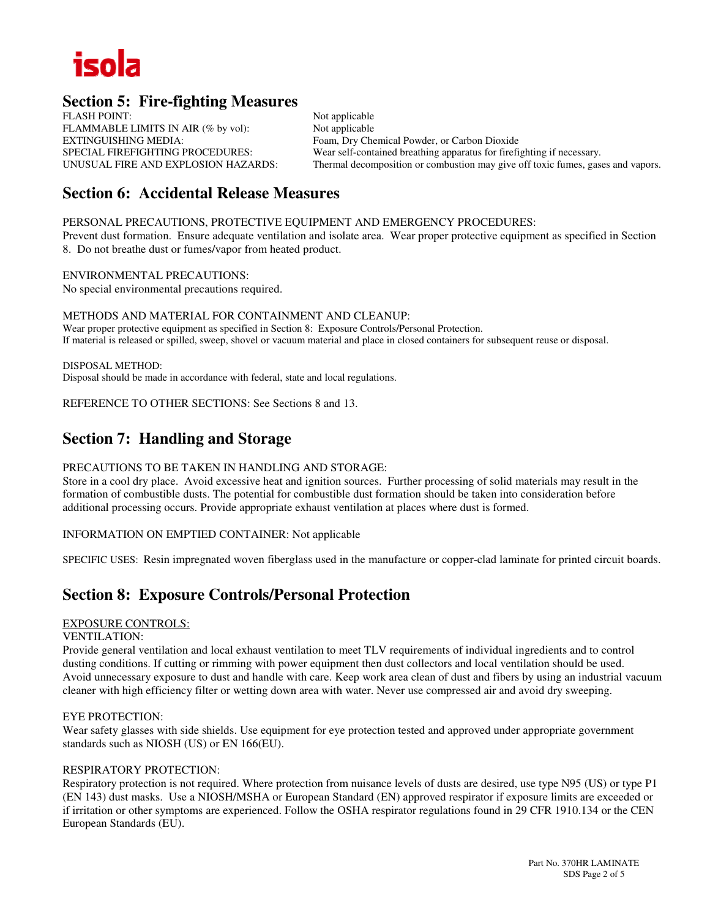

## **Section 5: Fire-fighting Measures**

FLASH POINT: Not applicable FLAMMABLE LIMITS IN AIR (% by vol): Not applicable EXTINGUISHING MEDIA:<br>
Foam, Dry Chemical Powder, or Carbon Dioxide<br>
Foam, Dry Chemical Powder, or Carbon Dioxide<br>
Foam, Pry Chemical Powder, or Carbon Dioxide<br>
Foam, Pry Chemical Powder, or Carbon Dioxide<br>
Foam, Dry Chemic

SPECIAL FIREFIGHTING PROCEDURES: Wear self-contained breathing apparatus for firefighting if necessary.<br>
UNUSUAL FIRE AND EXPLOSION HAZARDS: Thermal decomposition or combustion may give off toxic fumes, gase Thermal decomposition or combustion may give off toxic fumes, gases and vapors.

## **Section 6: Accidental Release Measures**

PERSONAL PRECAUTIONS, PROTECTIVE EQUIPMENT AND EMERGENCY PROCEDURES:

Prevent dust formation. Ensure adequate ventilation and isolate area. Wear proper protective equipment as specified in Section 8. Do not breathe dust or fumes/vapor from heated product.

ENVIRONMENTAL PRECAUTIONS: No special environmental precautions required.

METHODS AND MATERIAL FOR CONTAINMENT AND CLEANUP: Wear proper protective equipment as specified in Section 8: Exposure Controls/Personal Protection. If material is released or spilled, sweep, shovel or vacuum material and place in closed containers for subsequent reuse or disposal.

DISPOSAL METHOD: Disposal should be made in accordance with federal, state and local regulations.

REFERENCE TO OTHER SECTIONS: See Sections 8 and 13.

## **Section 7: Handling and Storage**

#### PRECAUTIONS TO BE TAKEN IN HANDLING AND STORAGE:

Store in a cool dry place. Avoid excessive heat and ignition sources. Further processing of solid materials may result in the formation of combustible dusts. The potential for combustible dust formation should be taken into consideration before additional processing occurs. Provide appropriate exhaust ventilation at places where dust is formed.

INFORMATION ON EMPTIED CONTAINER: Not applicable

SPECIFIC USES: Resin impregnated woven fiberglass used in the manufacture or copper-clad laminate for printed circuit boards.

## **Section 8: Exposure Controls/Personal Protection**

#### EXPOSURE CONTROLS:

#### VENTILATION:

Provide general ventilation and local exhaust ventilation to meet TLV requirements of individual ingredients and to control dusting conditions. If cutting or rimming with power equipment then dust collectors and local ventilation should be used. Avoid unnecessary exposure to dust and handle with care. Keep work area clean of dust and fibers by using an industrial vacuum cleaner with high efficiency filter or wetting down area with water. Never use compressed air and avoid dry sweeping.

#### EYE PROTECTION:

Wear safety glasses with side shields. Use equipment for eye protection tested and approved under appropriate government standards such as NIOSH (US) or EN 166(EU).

#### RESPIRATORY PROTECTION:

Respiratory protection is not required. Where protection from nuisance levels of dusts are desired, use type N95 (US) or type P1 (EN 143) dust masks. Use a NIOSH/MSHA or European Standard (EN) approved respirator if exposure limits are exceeded or if irritation or other symptoms are experienced. Follow the OSHA respirator regulations found in 29 CFR 1910.134 or the CEN European Standards (EU).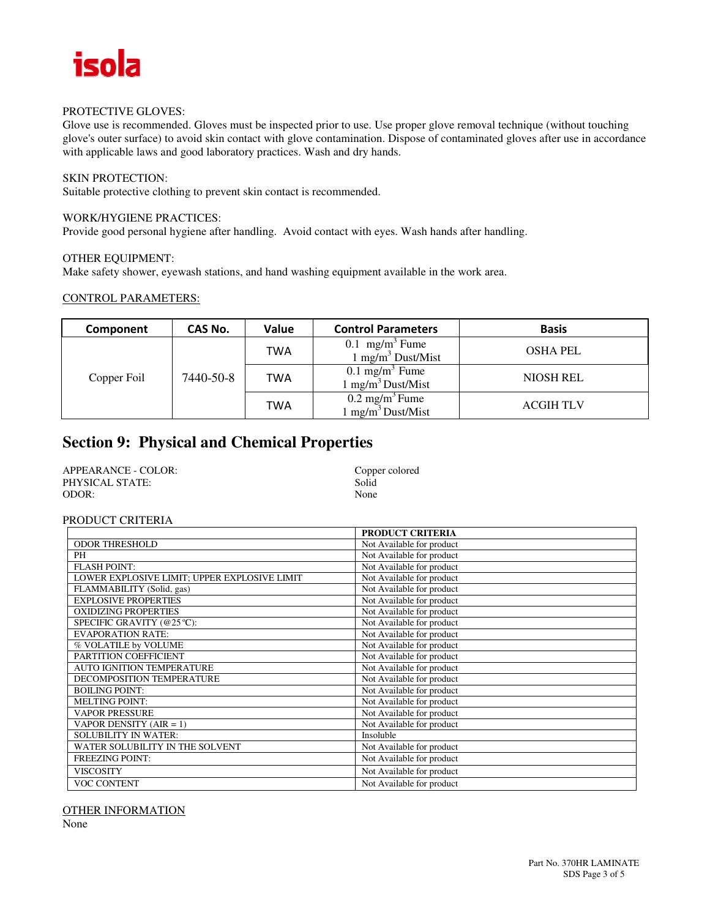

#### PROTECTIVE GLOVES:

Glove use is recommended. Gloves must be inspected prior to use. Use proper glove removal technique (without touching glove's outer surface) to avoid skin contact with glove contamination. Dispose of contaminated gloves after use in accordance with applicable laws and good laboratory practices. Wash and dry hands.

### SKIN PROTECTION:

Suitable protective clothing to prevent skin contact is recommended.

#### WORK/HYGIENE PRACTICES:

Provide good personal hygiene after handling. Avoid contact with eyes. Wash hands after handling.

#### OTHER EQUIPMENT:

Make safety shower, eyewash stations, and hand washing equipment available in the work area.

#### CONTROL PARAMETERS:

| Component                | CAS No. | Value                                                        | <b>Control Parameters</b>                                 | <b>Basis</b>     |
|--------------------------|---------|--------------------------------------------------------------|-----------------------------------------------------------|------------------|
| 7440-50-8<br>Copper Foil | TWA     | $0.1$ mg/m <sup>3</sup> Fume<br>$1 \text{ mg/m}^3$ Dust/Mist | <b>OSHA PEL</b>                                           |                  |
|                          | TWA     | $0.1 \text{ mg/m}^3$ Fume<br>$1 \text{ mg/m}^3$ Dust/Mist    | <b>NIOSH REL</b>                                          |                  |
|                          |         | TWA                                                          | $0.2 \text{ mg/m}^3$ Fume<br>$1 \text{ mg/m}^3$ Dust/Mist | <b>ACGIH TLV</b> |

## **Section 9: Physical and Chemical Properties**

| APPEARANCE - COLOR: | Copper colored |
|---------------------|----------------|
| PHYSICAL STATE:     | Solid          |
| ODOR:               | None           |

#### PRODUCT CRITERIA

|                                              | <b>PRODUCT CRITERIA</b>   |
|----------------------------------------------|---------------------------|
| <b>ODOR THRESHOLD</b>                        | Not Available for product |
| PH                                           | Not Available for product |
| <b>FLASH POINT:</b>                          | Not Available for product |
| LOWER EXPLOSIVE LIMIT; UPPER EXPLOSIVE LIMIT | Not Available for product |
| FLAMMABILITY (Solid, gas)                    | Not Available for product |
| <b>EXPLOSIVE PROPERTIES</b>                  | Not Available for product |
| <b>OXIDIZING PROPERTIES</b>                  | Not Available for product |
| SPECIFIC GRAVITY (@25 °C):                   | Not Available for product |
| <b>EVAPORATION RATE:</b>                     | Not Available for product |
| % VOLATILE by VOLUME                         | Not Available for product |
| PARTITION COEFFICIENT                        | Not Available for product |
| <b>AUTO IGNITION TEMPERATURE</b>             | Not Available for product |
| DECOMPOSITION TEMPERATURE                    | Not Available for product |
| <b>BOILING POINT:</b>                        | Not Available for product |
| <b>MELTING POINT:</b>                        | Not Available for product |
| <b>VAPOR PRESSURE</b>                        | Not Available for product |
| VAPOR DENSITY $(AIR = 1)$                    | Not Available for product |
| <b>SOLUBILITY IN WATER:</b>                  | Insoluble                 |
| WATER SOLUBILITY IN THE SOLVENT              | Not Available for product |
| <b>FREEZING POINT:</b>                       | Not Available for product |
| <b>VISCOSITY</b>                             | Not Available for product |
| <b>VOC CONTENT</b>                           | Not Available for product |

OTHER INFORMATION

None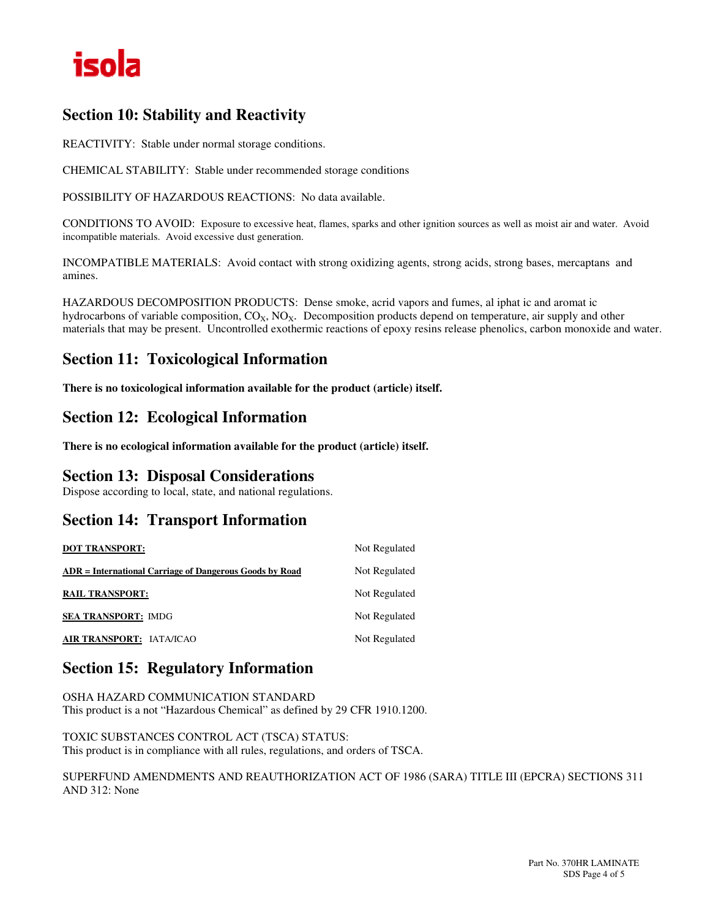

## **Section 10: Stability and Reactivity**

REACTIVITY: Stable under normal storage conditions.

CHEMICAL STABILITY: Stable under recommended storage conditions

POSSIBILITY OF HAZARDOUS REACTIONS: No data available.

CONDITIONS TO AVOID: Exposure to excessive heat, flames, sparks and other ignition sources as well as moist air and water. Avoid incompatible materials. Avoid excessive dust generation.

INCOMPATIBLE MATERIALS: Avoid contact with strong oxidizing agents, strong acids, strong bases, mercaptans and amines.

HAZARDOUS DECOMPOSITION PRODUCTS: Dense smoke, acrid vapors and fumes, al iphat ic and aromat ic hydrocarbons of variable composition,  $CO_X$ ,  $NO_X$ . Decomposition products depend on temperature, air supply and other materials that may be present. Uncontrolled exothermic reactions of epoxy resins release phenolics, carbon monoxide and water.

## **Section 11: Toxicological Information**

**There is no toxicological information available for the product (article) itself.** 

## **Section 12: Ecological Information**

**There is no ecological information available for the product (article) itself.** 

## **Section 13: Disposal Considerations**

Dispose according to local, state, and national regulations.

## **Section 14: Transport Information**

| <b>DOT TRANSPORT:</b>                                   | Not Regulated |
|---------------------------------------------------------|---------------|
| ADR = International Carriage of Dangerous Goods by Road | Not Regulated |
| <b>RAIL TRANSPORT:</b>                                  | Not Regulated |
| <b>SEA TRANSPORT: IMDG</b>                              | Not Regulated |
| AIR TRANSPORT: IATA/ICAO                                | Not Regulated |

## **Section 15: Regulatory Information**

OSHA HAZARD COMMUNICATION STANDARD This product is a not "Hazardous Chemical" as defined by 29 CFR 1910.1200.

TOXIC SUBSTANCES CONTROL ACT (TSCA) STATUS: This product is in compliance with all rules, regulations, and orders of TSCA.

SUPERFUND AMENDMENTS AND REAUTHORIZATION ACT OF 1986 (SARA) TITLE III (EPCRA) SECTIONS 311 AND 312: None